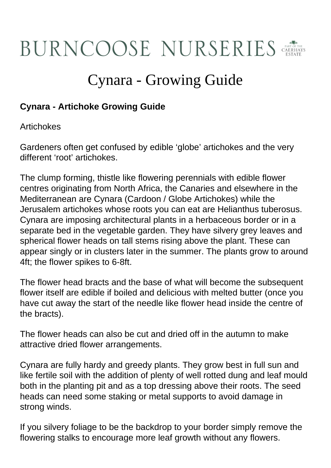## BURNCOOSE NURSERIES

## Cynara - Growing Guide

## **Cynara - Artichoke Growing Guide**

Artichokes

Gardeners often get confused by edible 'globe' artichokes and the very different 'root' artichokes.

The clump forming, thistle like flowering perennials with edible flower centres originating from North Africa, the Canaries and elsewhere in the Mediterranean are Cynara (Cardoon / Globe Artichokes) while the Jerusalem artichokes whose roots you can eat are Helianthus tuberosus. Cynara are imposing architectural plants in a herbaceous border or in a separate bed in the vegetable garden. They have silvery grey leaves and spherical flower heads on tall stems rising above the plant. These can appear singly or in clusters later in the summer. The plants grow to around 4ft; the flower spikes to 6-8ft.

The flower head bracts and the base of what will become the subsequent flower itself are edible if boiled and delicious with melted butter (once you have cut away the start of the needle like flower head inside the centre of the bracts).

The flower heads can also be cut and dried off in the autumn to make attractive dried flower arrangements.

Cynara are fully hardy and greedy plants. They grow best in full sun and like fertile soil with the addition of plenty of well rotted dung and leaf mould both in the planting pit and as a top dressing above their roots. The seed heads can need some staking or metal supports to avoid damage in strong winds.

If you silvery foliage to be the backdrop to your border simply remove the flowering stalks to encourage more leaf growth without any flowers.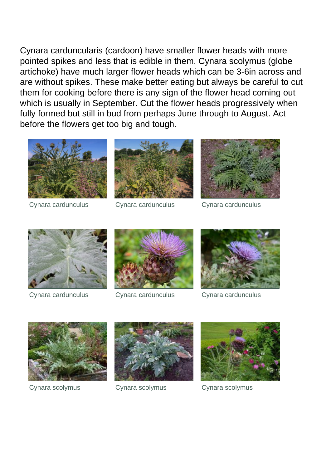Cynara carduncularis (cardoon) have smaller flower heads with more pointed spikes and less that is edible in them. Cynara scolymus (globe artichoke) have much larger flower heads which can be 3-6in across and are without spikes. These make better eating but always be careful to cut them for cooking before there is any sign of the flower head coming out which is usually in September. Cut the flower heads progressively when fully formed but still in bud from perhaps June through to August. Act before the flowers get too big and tough.





Cynara cardunculus Cynara cardunculus Cynara cardunculus







Cynara cardunculus Cynara cardunculus Cynara cardunculus







Cynara scolymus Cynara scolymus Cynara scolymus